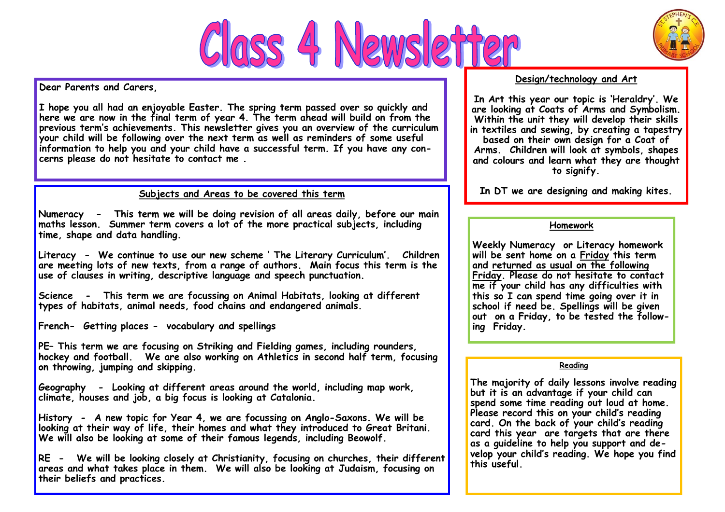



**Dear Parents and Carers,**

**I hope you all had an enjoyable Easter. The spring term passed over so quickly and here we are now in the final term of year 4. The term ahead will build on from the previous term's achievements. This newsletter gives you an overview of the curriculum your child will be following over the next term as well as reminders of some useful information to help you and your child have a successful term. If you have any concerns please do not hesitate to contact me .** 

### **Subjects and Areas to be covered this term**

**Numeracy - This term we will be doing revision of all areas daily, before our main maths lesson. Summer term covers a lot of the more practical subjects, including time, shape and data handling.**

**Literacy - We continue to use our new scheme ' The Literary Curriculum'. Children are meeting lots of new texts, from a range of authors. Main focus this term is the use of clauses in writing, descriptive language and speech punctuation.**

**Science - This term we are focussing on Animal Habitats, looking at different types of habitats, animal needs, food chains and endangered animals.**

**French- Getting places - vocabulary and spellings**

**PE– This term we are focusing on Striking and Fielding games, including rounders, hockey and football. We are also working on Athletics in second half term, focusing on throwing, jumping and skipping.**

**Geography - Looking at different areas around the world, including map work, climate, houses and job, a big focus is looking at Catalonia.**

**History - A new topic for Year 4, we are focussing on Anglo-Saxons. We will be looking at their way of life, their homes and what they introduced to Great Britani. We will also be looking at some of their famous legends, including Beowolf.**

**RE - We will be looking closely at Christianity, focusing on churches, their different areas and what takes place in them. We will also be looking at Judaism, focusing on their beliefs and practices.**

### **Design/technology and Art**

**In Art this year our topic is 'Heraldry'. We are looking at Coats of Arms and Symbolism. Within the unit they will develop their skills in textiles and sewing, by creating a tapestry based on their own design for a Coat of Arms. Children will look at symbols, shapes and colours and learn what they are thought to signify.** 

**In DT we are designing and making kites.**

### **Homework**

**Weekly Numeracy or Literacy homework will be sent home on a Friday this term and returned as usual on the following Friday. Please do not hesitate to contact me if your child has any difficulties with this so I can spend time going over it in school if need be. Spellings will be given out on a Friday, to be tested the following Friday.**

#### **Reading**

**The majority of daily lessons involve reading but it is an advantage if your child can spend some time reading out loud at home. Please record this on your child's reading card. On the back of your child's reading card this year are targets that are there as a guideline to help you support and develop your child's reading. We hope you find this useful.**